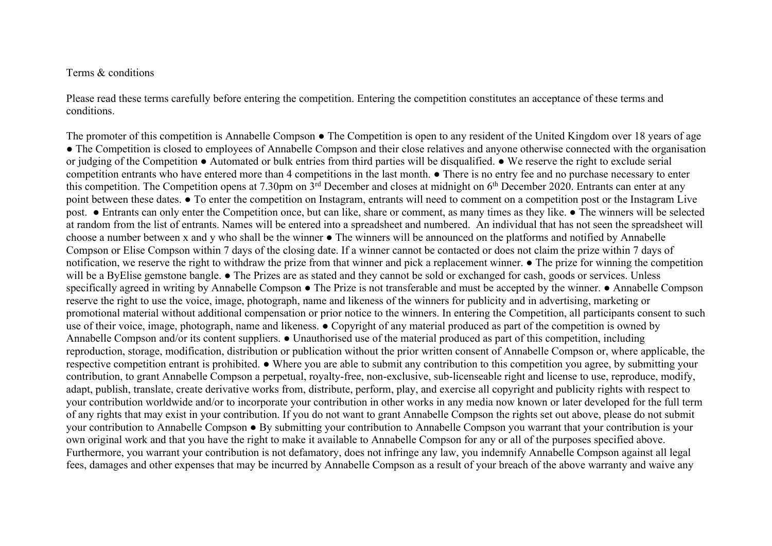## Terms & conditions

Please read these terms carefully before entering the competition. Entering the competition constitutes an acceptance of these terms and conditions.

The promoter of this competition is Annabelle Compson ● The Competition is open to any resident of the United Kingdom over 18 years of age • The Competition is closed to employees of Annabelle Compson and their close relatives and anyone otherwise connected with the organisation or judging of the Competition ● Automated or bulk entries from third parties will be disqualified. ● We reserve the right to exclude serial competition entrants who have entered more than 4 competitions in the last month. ● There is no entry fee and no purchase necessary to enter this competition. The Competition opens at 7.30pm on  $3<sup>rd</sup>$  December and closes at midnight on  $6<sup>th</sup>$  December 2020. Entrants can enter at any point between these dates. ● To enter the competition on Instagram, entrants will need to comment on a competition post or the Instagram Live post. ● Entrants can only enter the Competition once, but can like, share or comment, as many times as they like. ● The winners will be selected at random from the list of entrants. Names will be entered into a spreadsheet and numbered. An individual that has not seen the spreadsheet will choose a number between x and y who shall be the winner • The winners will be announced on the platforms and notified by Annabelle Compson or Elise Compson within 7 days of the closing date. If a winner cannot be contacted or does not claim the prize within 7 days of notification, we reserve the right to withdraw the prize from that winner and pick a replacement winner. ● The prize for winning the competition will be a ByElise gemstone bangle. • The Prizes are as stated and they cannot be sold or exchanged for cash, goods or services. Unless specifically agreed in writing by Annabelle Compson • The Prize is not transferable and must be accepted by the winner. • Annabelle Compson reserve the right to use the voice, image, photograph, name and likeness of the winners for publicity and in advertising, marketing or promotional material without additional compensation or prior notice to the winners. In entering the Competition, all participants consent to such use of their voice, image, photograph, name and likeness. ● Copyright of any material produced as part of the competition is owned by Annabelle Compson and/or its content suppliers. ● Unauthorised use of the material produced as part of this competition, including reproduction, storage, modification, distribution or publication without the prior written consent of Annabelle Compson or, where applicable, the respective competition entrant is prohibited. ● Where you are able to submit any contribution to this competition you agree, by submitting your contribution, to grant Annabelle Compson a perpetual, royalty-free, non-exclusive, sub-licenseable right and license to use, reproduce, modify, adapt, publish, translate, create derivative works from, distribute, perform, play, and exercise all copyright and publicity rights with respect to your contribution worldwide and/or to incorporate your contribution in other works in any media now known or later developed for the full term of any rights that may exist in your contribution. If you do not want to grant Annabelle Compson the rights set out above, please do not submit your contribution to Annabelle Compson ● By submitting your contribution to Annabelle Compson you warrant that your contribution is your own original work and that you have the right to make it available to Annabelle Compson for any or all of the purposes specified above. Furthermore, you warrant your contribution is not defamatory, does not infringe any law, you indemnify Annabelle Compson against all legal fees, damages and other expenses that may be incurred by Annabelle Compson as a result of your breach of the above warranty and waive any